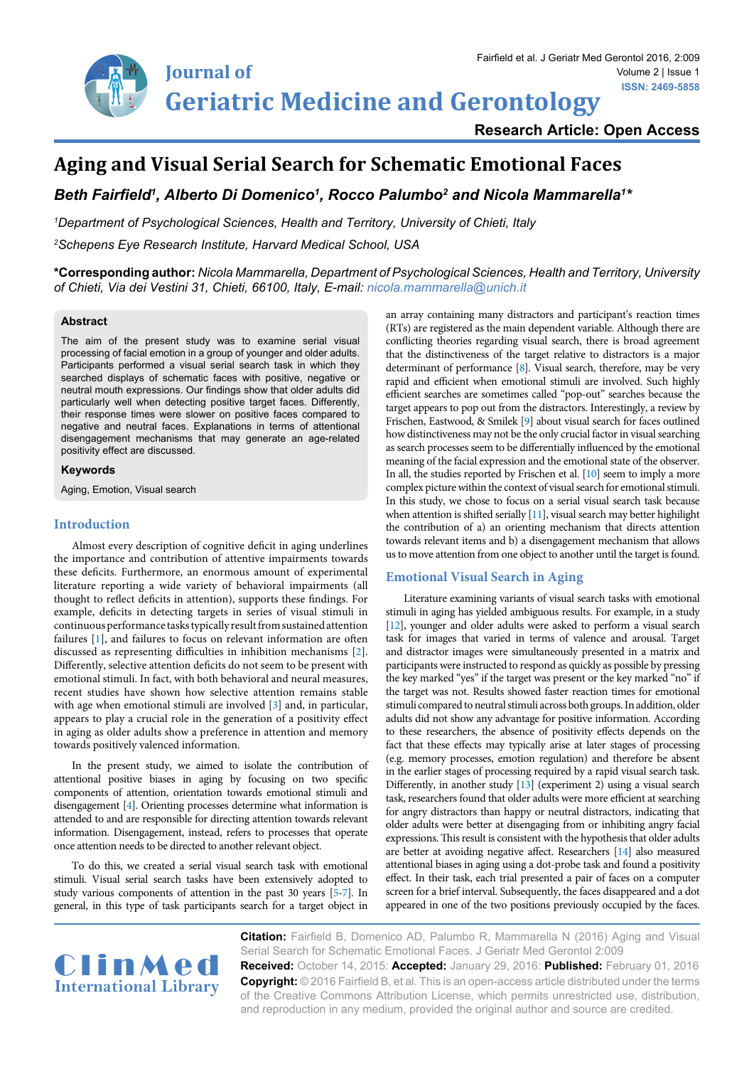

**ISSN: 2469-5858** Volume 2 | Issue 1

# **Aging and Visual Serial Search for Schematic Emotional Faces**

# Beth Fairfield', Alberto Di Domenico', Rocco Palumbo<sup>2</sup> and Nicola Mammarella<sup>1</sup>\*

*1 Department of Psychological Sciences, Health and Territory, University of Chieti, Italy*

*2 Schepens Eye Research Institute, Harvard Medical School, USA*

**\*Corresponding author:** *Nicola Mammarella, Department of Psychological Sciences, Health and Territory, University of Chieti, Via dei Vestini 31, Chieti, 66100, Italy, E-mail: nicola.mammarella@unich.it*

# **Abstract**

The aim of the present study was to examine serial visual processing of facial emotion in a group of younger and older adults. Participants performed a visual serial search task in which they searched displays of schematic faces with positive, negative or neutral mouth expressions. Our findings show that older adults did particularly well when detecting positive target faces. Differently, their response times were slower on positive faces compared to negative and neutral faces. Explanations in terms of attentional disengagement mechanisms that may generate an age-related positivity effect are discussed.

# **Keywords**

Aging, Emotion, Visual search

# **Introduction**

Almost every description of cognitive deficit in aging underlines the importance and contribution of attentive impairments towards these deficits. Furthermore, an enormous amount of experimental literature reporting a wide variety of behavioral impairments (all thought to reflect deficits in attention), supports these findings. For example, deficits in detecting targets in series of visual stimuli in continuous performance tasks typically result from sustained attention failures [\[1\]](#page-3-7), and failures to focus on relevant information are often discussed as representing difficulties in inhibition mechanisms [\[2](#page-3-8)]. Differently, selective attention deficits do not seem to be present with emotional stimuli. In fact, with both behavioral and neural measures, recent studies have shown how selective attention remains stable with age when emotional stimuli are involved [\[3\]](#page-3-9) and, in particular, appears to play a crucial role in the generation of a positivity effect in aging as older adults show a preference in attention and memory towards positively valenced information.

In the present study, we aimed to isolate the contribution of attentional positive biases in aging by focusing on two specific components of attention, orientation towards emotional stimuli and disengagement [\[4](#page-3-10)]. Orienting processes determine what information is attended to and are responsible for directing attention towards relevant information. Disengagement, instead, refers to processes that operate once attention needs to be directed to another relevant object.

To do this, we created a serial visual search task with emotional stimuli. Visual serial search tasks have been extensively adopted to study various components of attention in the past 30 years [\[5](#page-3-11)[-7](#page-3-12)]. In general, in this type of task participants search for a target object in an array containing many distractors and participant's reaction times (RTs) are registered as the main dependent variable. Although there are conflicting theories regarding visual search, there is broad agreement that the distinctiveness of the target relative to distractors is a major determinant of performance [\[8](#page-3-0)]. Visual search, therefore, may be very rapid and efficient when emotional stimuli are involved. Such highly efficient searches are sometimes called "pop-out" searches because the target appears to pop out from the distractors. Interestingly, a review by Frischen, Eastwood, & Smilek [\[9](#page-3-1)] about visual search for faces outlined how distinctiveness may not be the only crucial factor in visual searching as search processes seem to be differentially influenced by the emotional meaning of the facial expression and the emotional state of the observer. In all, the studies reported by Frischen et al. [[10](#page-3-2)] seem to imply a more complex picture within the context of visual search for emotional stimuli. In this study, we chose to focus on a serial visual search task because when attention is shifted serially [\[11](#page-3-3)], visual search may better highilight the contribution of a) an orienting mechanism that directs attention towards relevant items and b) a disengagement mechanism that allows us to move attention from one object to another until the target is found.

#### **Emotional Visual Search in Aging**

Literature examining variants of visual search tasks with emotional stimuli in aging has yielded ambiguous results. For example, in a study [[12\]](#page-3-4), younger and older adults were asked to perform a visual search task for images that varied in terms of valence and arousal. Target and distractor images were simultaneously presented in a matrix and participants were instructed to respond as quickly as possible by pressing the key marked "yes" if the target was present or the key marked "no" if the target was not. Results showed faster reaction times for emotional stimuli compared to neutral stimuli across both groups. In addition, older adults did not show any advantage for positive information. According to these researchers, the absence of positivity effects depends on the fact that these effects may typically arise at later stages of processing (e.g. memory processes, emotion regulation) and therefore be absent in the earlier stages of processing required by a rapid visual search task. Differently, in another study [[13](#page-3-5)] (experiment 2) using a visual search task, researchers found that older adults were more efficient at searching for angry distractors than happy or neutral distractors, indicating that older adults were better at disengaging from or inhibiting angry facial expressions. This result is consistent with the hypothesis that older adults are better at avoiding negative affect. Researchers [[14\]](#page-3-6) also measured attentional biases in aging using a dot-probe task and found a positivity effect. In their task, each trial presented a pair of faces on a computer screen for a brief interval. Subsequently, the faces disappeared and a dot appeared in one of the two positions previously occupied by the faces.



**Citation:** Fairfield B, Domenico AD, Palumbo R, Mammarella N (2016) Aging and Visual Serial Search for Schematic Emotional Faces. J Geriatr Med Gerontol 2:009 **Received:** October 14, 2015: **Accepted:** January 29, 2016: **Published:** February 01, 2016 **Copyright:** © 2016 Fairfield B, et al. This is an open-access article distributed under the terms of the Creative Commons Attribution License, which permits unrestricted use, distribution, and reproduction in any medium, provided the original author and source are credited.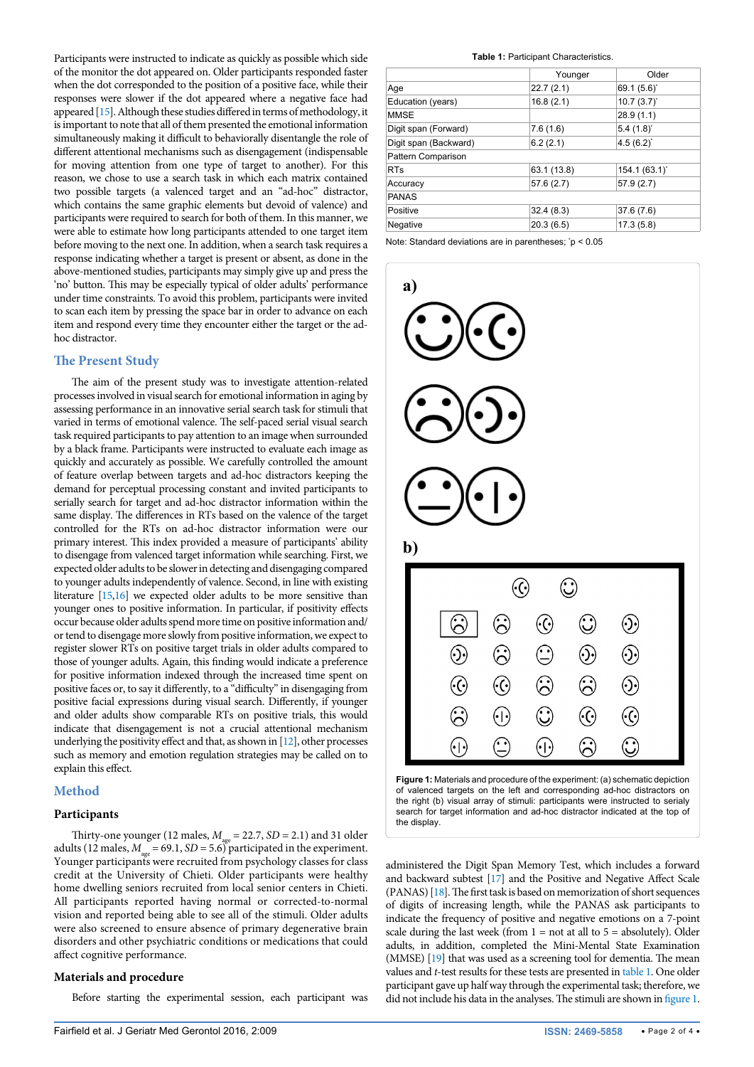Participants were instructed to indicate as quickly as possible which side of the monitor the dot appeared on. Older participants responded faster when the dot corresponded to the position of a positive face, while their responses were slower if the dot appeared where a negative face had appeared [\[15\]](#page-3-13). Although these studies differed in terms of methodology, it is important to note that all of them presented the emotional information simultaneously making it difficult to behaviorally disentangle the role of different attentional mechanisms such as disengagement (indispensable for moving attention from one type of target to another). For this reason, we chose to use a search task in which each matrix contained two possible targets (a valenced target and an "ad-hoc" distractor, which contains the same graphic elements but devoid of valence) and participants were required to search for both of them. In this manner, we were able to estimate how long participants attended to one target item before moving to the next one. In addition, when a search task requires a response indicating whether a target is present or absent, as done in the above-mentioned studies, participants may simply give up and press the 'no' button. This may be especially typical of older adults' performance under time constraints. To avoid this problem, participants were invited to scan each item by pressing the space bar in order to advance on each item and respond every time they encounter either the target or the adhoc distractor.

# **The Present Study**

The aim of the present study was to investigate attention-related processes involved in visual search for emotional information in aging by assessing performance in an innovative serial search task for stimuli that varied in terms of emotional valence. The self-paced serial visual search task required participants to pay attention to an image when surrounded by a black frame. Participants were instructed to evaluate each image as quickly and accurately as possible. We carefully controlled the amount of feature overlap between targets and ad-hoc distractors keeping the demand for perceptual processing constant and invited participants to serially search for target and ad-hoc distractor information within the same display. The differences in RTs based on the valence of the target controlled for the RTs on ad-hoc distractor information were our primary interest. This index provided a measure of participants' ability to disengage from valenced target information while searching. First, we expected older adults to be slower in detecting and disengaging compared to younger adults independently of valence. Second, in line with existing literature [\[15,](#page-3-13)[16\]](#page-3-14) we expected older adults to be more sensitive than younger ones to positive information. In particular, if positivity effects occur because older adults spend more time on positive information and/ or tend to disengage more slowly from positive information, we expect to register slower RTs on positive target trials in older adults compared to those of younger adults. Again, this finding would indicate a preference for positive information indexed through the increased time spent on positive faces or, to say it differently, to a "difficulty" in disengaging from positive facial expressions during visual search. Differently, if younger and older adults show comparable RTs on positive trials, this would indicate that disengagement is not a crucial attentional mechanism underlying the positivity effect and that, as shown in [\[12\]](#page-3-4), other processes such as memory and emotion regulation strategies may be called on to explain this effect.

# **Method**

# **Participants**

Thirty-one younger (12 males,  $M_{\text{age}} = 22.7$ ,  $SD = 2.1$ ) and 31 older adults (12 males,  $M_{\text{age}} = 69.1$ ,  $SD = 5.6$ ) participated in the experiment. Younger participants were recruited from psychology classes for class credit at the University of Chieti. Older participants were healthy home dwelling seniors recruited from local senior centers in Chieti. All participants reported having normal or corrected-to-normal vision and reported being able to see all of the stimuli. Older adults were also screened to ensure absence of primary degenerative brain disorders and other psychiatric conditions or medications that could affect cognitive performance.

# **Materials and procedure**

Before starting the experimental session, each participant was

#### <span id="page-1-0"></span>**Table 1:** Participant Characteristics.

|                       | Younger     | Older       |
|-----------------------|-------------|-------------|
| Age                   | 22.7(2.1)   | 69.1(5.6)   |
| Education (years)     | 16.8(2.1)   | 10.7(3.7)   |
| MMSE                  |             | 28.9(1.1)   |
| Digit span (Forward)  | 7.6(1.6)    | 5.4(1.8)    |
| Digit span (Backward) | 6.2(2.1)    | 4.5(6.2)    |
| Pattern Comparison    |             |             |
| <b>RTs</b>            | 63.1 (13.8) | 154.1(63.1) |
| Accuracy              | 57.6(2.7)   | 57.9(2.7)   |
| <b>PANAS</b>          |             |             |
| Positive              | 32.4(8.3)   | 37.6 (7.6)  |
| Negative              | 20.3(6.5)   | 17.3(5.8)   |

Note: Standard deviations are in parentheses; \* p < 0.05

<span id="page-1-1"></span>

**Figure 1:** Materials and procedure of the experiment: (a) schematic depiction of valenced targets on the left and corresponding ad-hoc distractors on the right (b) visual array of stimuli: participants were instructed to serialy search for target information and ad-hoc distractor indicated at the top of the display.

administered the Digit Span Memory Test, which includes a forward and backward subtest [\[17\]](#page-3-15) and the Positive and Negative Affect Scale (PANAS) [\[18\]](#page-3-16). The first task is based on memorization of short sequences of digits of increasing length, while the PANAS ask participants to indicate the frequency of positive and negative emotions on a 7-point scale during the last week (from  $1 = not$  at all to  $5 = absolutely$ ). Older adults, in addition, completed the Mini-Mental State Examination (MMSE) [\[19\]](#page-3-17) that was used as a screening tool for dementia. The mean values and *t*-test results for these tests are presented in [table 1](#page-1-0). One older participant gave up half way through the experimental task; therefore, we did not include his data in the analyses. The stimuli are shown in [figure 1.](#page-1-1)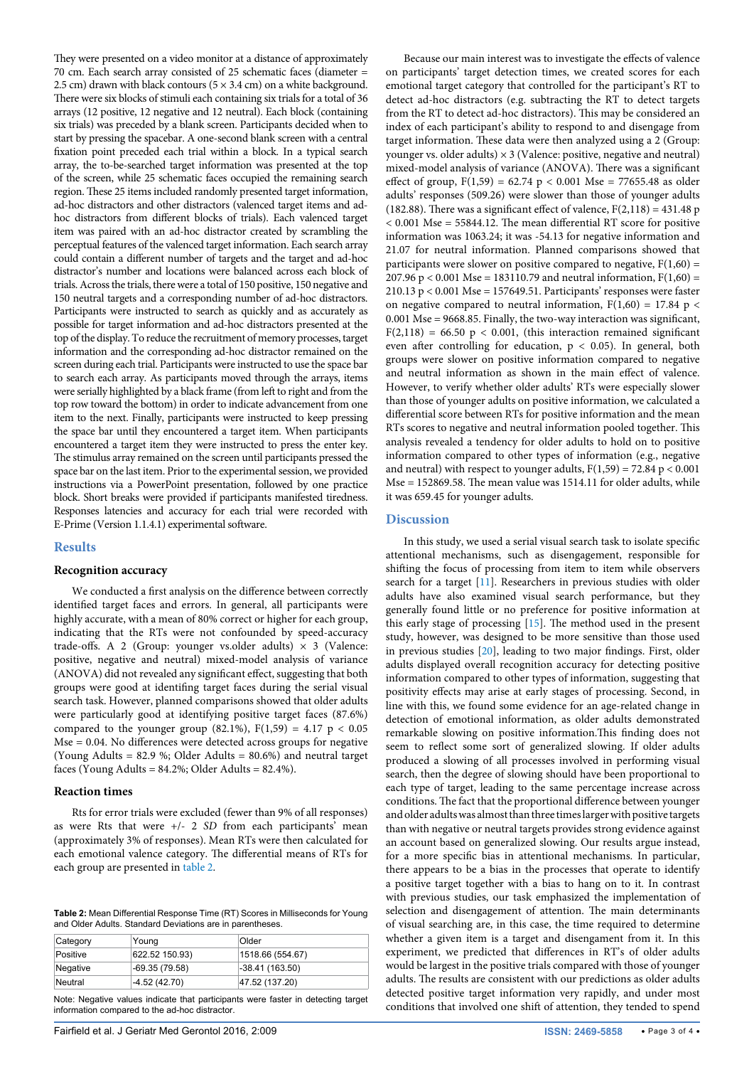They were presented on a video monitor at a distance of approximately 70 cm. Each search array consisted of 25 schematic faces (diameter = 2.5 cm) drawn with black contours ( $5 \times 3.4$  cm) on a white background. There were six blocks of stimuli each containing six trials for a total of 36 arrays (12 positive, 12 negative and 12 neutral). Each block (containing six trials) was preceded by a blank screen. Participants decided when to start by pressing the spacebar. A one-second blank screen with a central fixation point preceded each trial within a block. In a typical search array, the to-be-searched target information was presented at the top of the screen, while 25 schematic faces occupied the remaining search region. These 25 items included randomly presented target information, ad-hoc distractors and other distractors (valenced target items and adhoc distractors from different blocks of trials). Each valenced target item was paired with an ad-hoc distractor created by scrambling the perceptual features of the valenced target information. Each search array could contain a different number of targets and the target and ad-hoc distractor's number and locations were balanced across each block of trials. Across the trials, there were a total of 150 positive, 150 negative and 150 neutral targets and a corresponding number of ad-hoc distractors. Participants were instructed to search as quickly and as accurately as possible for target information and ad-hoc distractors presented at the top of the display. To reduce the recruitment of memory processes, target information and the corresponding ad-hoc distractor remained on the screen during each trial. Participants were instructed to use the space bar to search each array. As participants moved through the arrays, items were serially highlighted by a black frame (from left to right and from the top row toward the bottom) in order to indicate advancement from one item to the next. Finally, participants were instructed to keep pressing the space bar until they encountered a target item. When participants encountered a target item they were instructed to press the enter key. The stimulus array remained on the screen until participants pressed the space bar on the last item. Prior to the experimental session, we provided instructions via a PowerPoint presentation, followed by one practice block. Short breaks were provided if participants manifested tiredness. Responses latencies and accuracy for each trial were recorded with E-Prime (Version 1.1.4.1) experimental software.

# **Results**

# **Recognition accuracy**

We conducted a first analysis on the difference between correctly identified target faces and errors. In general, all participants were highly accurate, with a mean of 80% correct or higher for each group, indicating that the RTs were not confounded by speed-accuracy trade-offs. A 2 (Group: younger vs.older adults)  $\times$  3 (Valence: positive, negative and neutral) mixed-model analysis of variance (ANOVA) did not revealed any significant effect, suggesting that both groups were good at identifing target faces during the serial visual search task. However, planned comparisons showed that older adults were particularly good at identifying positive target faces (87.6%) compared to the younger group (82.1%),  $F(1,59) = 4.17$  p < 0.05 Mse = 0.04. No differences were detected across groups for negative (Young Adults = 82.9 %; Older Adults = 80.6%) and neutral target faces (Young Adults =  $84.2\%$ ; Older Adults =  $82.4\%$ ).

#### **Reaction times**

Rts for error trials were excluded (fewer than 9% of all responses) as were Rts that were +/- 2 *SD* from each participants' mean (approximately 3% of responses). Mean RTs were then calculated for each emotional valence category. The differential means of RTs for each group are presented in [table 2](#page-2-0).

<span id="page-2-0"></span>**Table 2:** Mean Differential Response Time (RT) Scores in Milliseconds for Young and Older Adults. Standard Deviations are in parentheses.

| Category | Young           | Older            |  |
|----------|-----------------|------------------|--|
| Positive | 622.52 150.93)  | 1518.66 (554.67) |  |
| Negative | $-69.35(79.58)$ | $-38.41(163.50)$ |  |
| Neutral  | $-4.52(42.70)$  | 47.52 (137.20)   |  |

Note: Negative values indicate that participants were faster in detecting target information compared to the ad-hoc distractor.

Because our main interest was to investigate the effects of valence on participants' target detection times, we created scores for each emotional target category that controlled for the participant's RT to detect ad-hoc distractors (e.g. subtracting the RT to detect targets from the RT to detect ad-hoc distractors). This may be considered an index of each participant's ability to respond to and disengage from target information. These data were then analyzed using a 2 (Group: younger vs. older adults)  $\times$  3 (Valence: positive, negative and neutral) mixed-model analysis of variance (ANOVA). There was a significant effect of group,  $F(1,59) = 62.74$  p < 0.001 Mse = 77655.48 as older adults' responses (509.26) were slower than those of younger adults (182.88). There was a significant effect of valence,  $F(2,118) = 431.48$  p  $< 0.001$  Mse = 55844.12. The mean differential RT score for positive information was 1063.24; it was -54.13 for negative information and 21.07 for neutral information. Planned comparisons showed that participants were slower on positive compared to negative,  $F(1,60) =$ 207.96 p < 0.001 Mse = 183110.79 and neutral information,  $F(1,60)$  =  $210.13$  p < 0.001 Mse = 157649.51. Participants' responses were faster on negative compared to neutral information,  $F(1,60) = 17.84$  p < 0.001 Mse = 9668.85. Finally, the two-way interaction was significant,  $F(2,118) = 66.50 \text{ p} < 0.001$ , (this interaction remained significant even after controlling for education, p < 0.05). In general, both groups were slower on positive information compared to negative and neutral information as shown in the main effect of valence. However, to verify whether older adults' RTs were especially slower than those of younger adults on positive information, we calculated a differential score between RTs for positive information and the mean RTs scores to negative and neutral information pooled together. This analysis revealed a tendency for older adults to hold on to positive information compared to other types of information (e.g., negative and neutral) with respect to younger adults,  $F(1,59) = 72.84$  p < 0.001 Mse = 152869.58. The mean value was 1514.11 for older adults, while it was 659.45 for younger adults.

# **Discussion**

In this study, we used a serial visual search task to isolate specific attentional mechanisms, such as disengagement, responsible for shifting the focus of processing from item to item while observers search for a target [[11](#page-3-3)]. Researchers in previous studies with older adults have also examined visual search performance, but they generally found little or no preference for positive information at this early stage of processing [\[15\]](#page-3-13). The method used in the present study, however, was designed to be more sensitive than those used in previous studies [\[20](#page-3-18)], leading to two major findings. First, older adults displayed overall recognition accuracy for detecting positive information compared to other types of information, suggesting that positivity effects may arise at early stages of processing. Second, in line with this, we found some evidence for an age-related change in detection of emotional information, as older adults demonstrated remarkable slowing on positive information.This finding does not seem to reflect some sort of generalized slowing. If older adults produced a slowing of all processes involved in performing visual search, then the degree of slowing should have been proportional to each type of target, leading to the same percentage increase across conditions. The fact that the proportional difference between younger and older adults was almost than three times larger with positive targets than with negative or neutral targets provides strong evidence against an account based on generalized slowing. Our results argue instead, for a more specific bias in attentional mechanisms. In particular, there appears to be a bias in the processes that operate to identify a positive target together with a bias to hang on to it. In contrast with previous studies, our task emphasized the implementation of selection and disengagement of attention. The main determinants of visual searching are, in this case, the time required to determine whether a given item is a target and disengament from it. In this experiment, we predicted that differences in RT's of older adults would be largest in the positive trials compared with those of younger adults. The results are consistent with our predictions as older adults detected positive target information very rapidly, and under most conditions that involved one shift of attention, they tended to spend